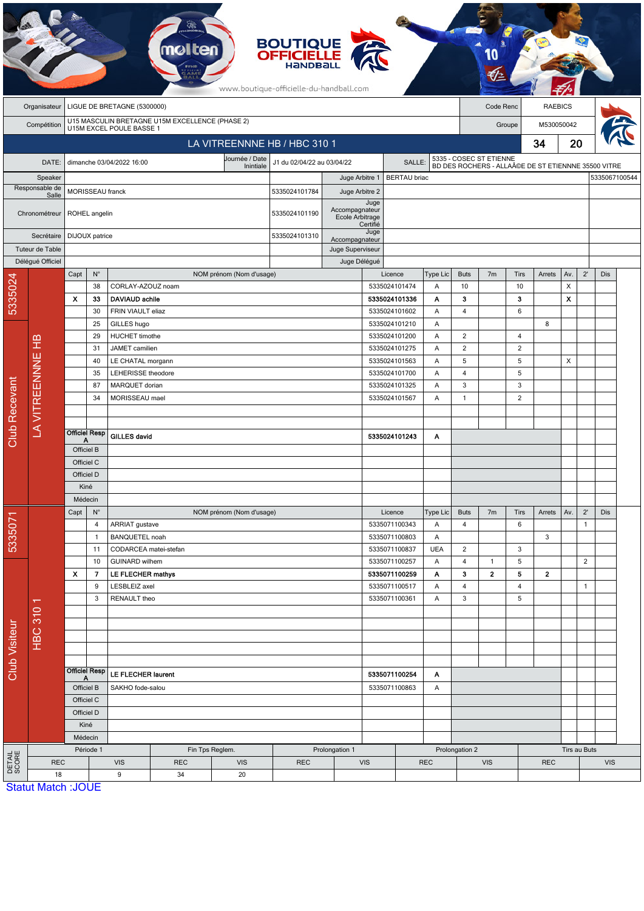|                                                | <b>BOUTIQUE<br/>OFFICIELLE</b><br>www.boutique-officielle-du-handball.com                  |                                 |                              |                                                |                                                |                          |                            |                                   |                    |                                          |                 |                                  |                |                          |                                                                               |              |              |               |  |
|------------------------------------------------|--------------------------------------------------------------------------------------------|---------------------------------|------------------------------|------------------------------------------------|------------------------------------------------|--------------------------|----------------------------|-----------------------------------|--------------------|------------------------------------------|-----------------|----------------------------------|----------------|--------------------------|-------------------------------------------------------------------------------|--------------|--------------|---------------|--|
|                                                | LIGUE DE BRETAGNE (5300000)<br>Organisateur                                                |                                 |                              |                                                |                                                |                          |                            |                                   |                    |                                          |                 | <b>RAEBICS</b><br>Code Renc      |                |                          |                                                                               |              |              |               |  |
|                                                | U15 MASCULIN BRETAGNE U15M EXCELLENCE (PHASE 2)<br>U15M EXCEL POULE BASSE 1<br>Compétition |                                 |                              |                                                |                                                |                          |                            |                                   |                    |                                          |                 | Groupe                           |                |                          |                                                                               | M530050042   |              |               |  |
|                                                |                                                                                            |                                 |                              |                                                |                                                |                          |                            |                                   |                    |                                          |                 | 34                               |                |                          | 20                                                                            |              |              |               |  |
| LA VITREENNNE HB / HBC 310 1<br>Journée / Date |                                                                                            |                                 |                              |                                                |                                                |                          |                            |                                   |                    |                                          |                 |                                  |                |                          |                                                                               |              |              |               |  |
|                                                | DATE:                                                                                      |                                 |                              | dimanche 03/04/2022 16:00                      |                                                | Inintiale                | J1 du 02/04/22 au 03/04/22 |                                   |                    | SALLE:                                   |                 |                                  |                |                          | 5335 - COSEC ST ETIENNE<br>BD DES ROCHERS - ALLA©E DE ST ETIENNNE 35500 VITRE |              |              |               |  |
| Speaker<br>Responsable de                      |                                                                                            |                                 |                              |                                                |                                                |                          |                            | Juge Arbitre 1                    |                    | <b>BERTAU</b> briac                      |                 |                                  |                |                          |                                                                               |              |              | 5335067100544 |  |
|                                                | Salle                                                                                      | MORISSEAU franck                |                              |                                                |                                                |                          | 5335024101784              | Juge Arbitre 2                    | Juge               |                                          |                 |                                  |                |                          |                                                                               |              |              |               |  |
|                                                | Chronométreur                                                                              |                                 | ROHEL angelin                |                                                |                                                |                          | 5335024101190              | Accompagnateur<br>Ecole Arbitrage | Certifié           |                                          |                 |                                  |                |                          |                                                                               |              |              |               |  |
| Secrétaire<br>Tuteur de Table                  |                                                                                            | DIJOUX patrice                  |                              |                                                |                                                |                          | 5335024101310              | Accompagnateur                    | Juge               |                                          |                 |                                  |                |                          |                                                                               |              |              |               |  |
|                                                |                                                                                            |                                 |                              |                                                |                                                |                          |                            | Juge Superviseur                  |                    |                                          |                 |                                  |                |                          |                                                                               |              |              |               |  |
|                                                | Délégué Officiel                                                                           |                                 |                              |                                                |                                                |                          |                            | Juge Délégué                      |                    |                                          |                 |                                  |                |                          |                                                                               |              |              |               |  |
|                                                |                                                                                            | Capt                            | $N^{\circ}$                  |                                                |                                                | NOM prénom (Nom d'usage) |                            |                                   |                    | Licence                                  | Type Lic        | <b>Buts</b>                      | 7 <sub>m</sub> | <b>Tirs</b>              | Arrets                                                                        | Av.          | $2^{\prime}$ | <b>Dis</b>    |  |
| 5335024                                        |                                                                                            | X                               | 38<br>33                     | CORLAY-AZOUZ noam<br><b>DAVIAUD achile</b>     |                                                |                          |                            |                                   |                    | 5335024101474<br>5335024101336           | Α<br>Α          | 10<br>3                          |                | 10<br>3                  |                                                                               | X<br>X       |              |               |  |
|                                                |                                                                                            |                                 | 30                           | FRIN VIAULT eliaz                              |                                                |                          |                            |                                   |                    | 5335024101602                            | Α               | 4                                |                | 6                        |                                                                               |              |              |               |  |
|                                                |                                                                                            |                                 | 25                           | GILLES hugo                                    |                                                |                          |                            |                                   |                    | 5335024101210                            | Α               |                                  |                |                          | 8                                                                             |              |              |               |  |
|                                                |                                                                                            |                                 | 29                           | <b>HUCHET</b> timothe                          |                                                |                          |                            |                                   |                    | 5335024101200                            | Α               | $\overline{2}$                   |                | 4                        |                                                                               |              |              |               |  |
|                                                |                                                                                            |                                 | 31                           | JAMET camilien                                 |                                                |                          |                            |                                   |                    | 5335024101275                            | A               | 2                                |                | $\overline{2}$           |                                                                               |              |              |               |  |
|                                                |                                                                                            |                                 | 40                           |                                                | LE CHATAL morgann<br><b>LEHERISSE</b> theodore |                          |                            |                                   |                    | 5335024101563<br>Α<br>5335024101700<br>Α |                 | 5                                |                | 5                        |                                                                               | X            |              |               |  |
|                                                |                                                                                            |                                 | 35                           |                                                |                                                |                          |                            |                                   |                    |                                          |                 | $\overline{4}$                   |                | 5                        |                                                                               |              |              |               |  |
|                                                |                                                                                            |                                 | 87                           | MARQUET dorian                                 |                                                |                          |                            |                                   |                    | 5335024101325<br>A                       |                 | 3                                |                | 3                        |                                                                               |              |              |               |  |
|                                                | LA VITREENNNE HB                                                                           |                                 | 34                           | MORISSEAU mael                                 |                                                |                          |                            |                                   | 5335024101567<br>Α |                                          |                 | $\mathbf{1}$                     |                | $\overline{2}$           |                                                                               |              |              |               |  |
|                                                |                                                                                            |                                 |                              |                                                |                                                |                          |                            |                                   |                    |                                          |                 |                                  |                |                          |                                                                               |              |              |               |  |
| <b>Club Recevant</b>                           |                                                                                            |                                 | <b>Officiel Resp</b>         | <b>GILLES david</b>                            |                                                |                          |                            |                                   |                    | Α                                        |                 |                                  |                |                          |                                                                               |              |              |               |  |
|                                                |                                                                                            | Α<br>Officiel B                 |                              |                                                |                                                |                          |                            | 5335024101243                     |                    |                                          |                 |                                  |                |                          |                                                                               |              |              |               |  |
|                                                |                                                                                            | Officiel C                      |                              |                                                |                                                |                          |                            |                                   |                    |                                          |                 |                                  |                |                          |                                                                               |              |              |               |  |
|                                                |                                                                                            | Officiel D                      |                              |                                                |                                                |                          |                            |                                   |                    |                                          |                 |                                  |                |                          |                                                                               |              |              |               |  |
|                                                |                                                                                            | Kiné                            |                              |                                                |                                                |                          |                            |                                   |                    |                                          |                 |                                  |                |                          |                                                                               |              |              |               |  |
|                                                |                                                                                            | Médecin                         |                              |                                                |                                                |                          |                            |                                   |                    |                                          |                 |                                  |                |                          |                                                                               |              |              |               |  |
|                                                |                                                                                            | Capt<br>$\mathsf{N}^\circ$<br>4 |                              |                                                |                                                | NOM prénom (Nom d'usage) |                            |                                   |                    | Licence                                  | Type Lic        | <b>Buts</b>                      | 7 <sub>m</sub> | <b>Tirs</b>              | Arrets                                                                        | Av.          | $2^{\prime}$ | Dis           |  |
| 5335071                                        |                                                                                            |                                 |                              | ARRIAT gustave                                 |                                                |                          |                            |                                   | 5335071100343      | Α                                        | 4               |                                  | $\,6\,$        |                          |                                                                               | $\mathbf{1}$ |              |               |  |
|                                                |                                                                                            |                                 | 1                            | <b>BANQUETEL noah</b>                          |                                                |                          |                            |                                   |                    | 5335071100803                            | Α<br><b>UEA</b> |                                  |                |                          | 3                                                                             |              |              |               |  |
|                                                |                                                                                            |                                 | 11<br>10                     | CODARCEA matei-stefan<br><b>GUINARD</b> wilhem |                                                |                          |                            |                                   |                    | 5335071100837<br>5335071100257           | Α               | $\overline{2}$<br>$\overline{4}$ | $\mathbf{1}$   | 3<br>5                   |                                                                               |              | $\mathbf 2$  |               |  |
|                                                |                                                                                            | X                               | 7                            | <b>LE FLECHER mathys</b>                       |                                                |                          |                            |                                   | 5335071100259      | Α                                        | 3               | $\mathbf{2}$                     | 5              | $\mathbf{2}$             |                                                                               |              |              |               |  |
|                                                | π<br><b>HBC 310</b>                                                                        |                                 | 9<br>LESBLEIZ axel           |                                                |                                                | 5335071100517            |                            | Α                                 | $\overline{4}$     |                                          | 4               |                                  |                | $\mathbf{1}$             |                                                                               |              |              |               |  |
| Club Visiteur                                  |                                                                                            |                                 | 3<br>RENAULT theo            |                                                |                                                |                          |                            |                                   |                    | 5335071100361                            | Α               | 3                                |                | 5                        |                                                                               |              |              |               |  |
|                                                |                                                                                            |                                 |                              |                                                |                                                |                          |                            |                                   |                    |                                          |                 |                                  |                |                          |                                                                               |              |              |               |  |
|                                                |                                                                                            |                                 |                              |                                                |                                                |                          |                            |                                   |                    |                                          |                 |                                  |                |                          |                                                                               |              |              |               |  |
|                                                |                                                                                            |                                 |                              |                                                |                                                |                          |                            |                                   |                    |                                          |                 |                                  |                |                          |                                                                               |              |              |               |  |
|                                                |                                                                                            |                                 |                              |                                                |                                                |                          |                            |                                   |                    |                                          |                 |                                  |                |                          |                                                                               |              |              |               |  |
|                                                |                                                                                            |                                 | Officiel Resp                |                                                |                                                |                          |                            |                                   |                    | 5335071100254                            | Α               |                                  |                |                          |                                                                               |              |              |               |  |
|                                                |                                                                                            | A<br>Officiel B<br>Officiel C   |                              | LE FLECHER laurent<br>SAKHO fode-salou         |                                                |                          |                            |                                   |                    |                                          | Α               |                                  |                |                          |                                                                               |              |              |               |  |
|                                                |                                                                                            |                                 |                              |                                                |                                                |                          |                            |                                   |                    | 5335071100863                            |                 |                                  |                |                          |                                                                               |              |              |               |  |
|                                                |                                                                                            |                                 | Officiel D                   |                                                |                                                |                          |                            |                                   |                    |                                          |                 |                                  |                |                          |                                                                               |              |              |               |  |
|                                                |                                                                                            | Kiné                            |                              |                                                |                                                |                          |                            |                                   |                    |                                          |                 |                                  |                |                          |                                                                               |              |              |               |  |
|                                                |                                                                                            |                                 | Médecin                      |                                                |                                                |                          |                            |                                   |                    |                                          |                 |                                  |                |                          |                                                                               |              |              |               |  |
|                                                |                                                                                            |                                 | Période 1<br>Fin Tps Reglem. |                                                |                                                | Prolongation 1           |                            |                                   |                    |                                          | Prolongation 2  |                                  |                |                          |                                                                               | Tirs au Buts |              |               |  |
| DETAIL<br>SCORE                                | <b>REC</b>                                                                                 |                                 |                              | <b>VIS</b>                                     | <b>REC</b>                                     | <b>VIS</b>               | <b>REC</b>                 |                                   | <b>VIS</b>         |                                          | <b>REC</b>      |                                  |                | <b>VIS</b><br><b>REC</b> |                                                                               |              | <b>VIS</b>   |               |  |
|                                                | 18<br><b>Statut Match: JOUE</b>                                                            |                                 |                              | 9                                              | 34                                             | 20                       |                            |                                   |                    |                                          |                 |                                  |                |                          |                                                                               |              |              |               |  |